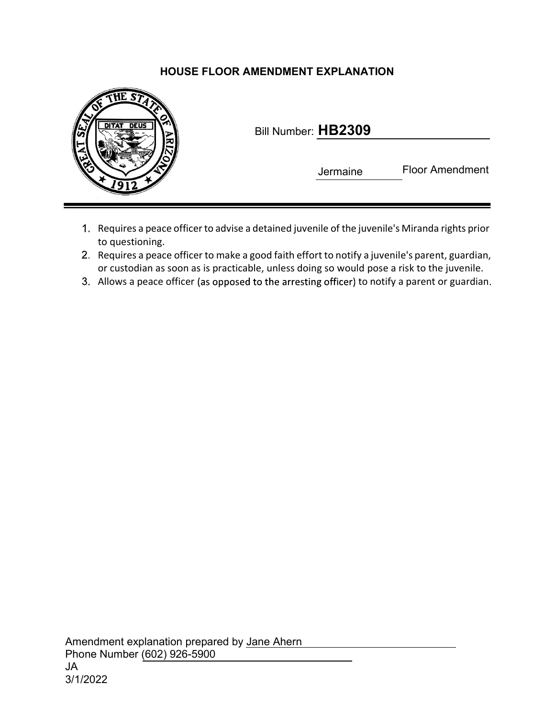## HOUSE FLOOR AMENDMENT EXPLANATION



| Bill Number: HB2309 |
|---------------------|
|---------------------|

Jermaine Floor Amendment

- 1. Requires a peace officer to advise a detained juvenile of the juvenile's Miranda rights prior to questioning.
- 2. Requires a peace officer to make a good faith effort to notify a juvenile's parent, guardian, or custodian as soon as is practicable, unless doing so would pose a risk to the juvenile.
- 3. Allows a peace officer (as opposed to the arresting officer) to notify a parent or guardian.